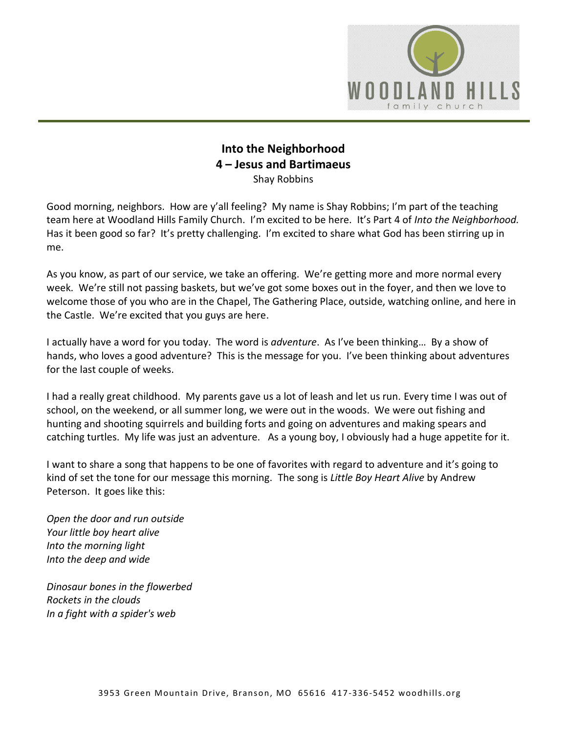

## **Into the Neighborhood 4 – Jesus and Bartimaeus** Shay Robbins

Good morning, neighbors. How are y'all feeling? My name is Shay Robbins; I'm part of the teaching team here at Woodland Hills Family Church. I'm excited to be here. It's Part 4 of *Into the Neighborhood.*  Has it been good so far? It's pretty challenging. I'm excited to share what God has been stirring up in me.

As you know, as part of our service, we take an offering. We're getting more and more normal every week. We're still not passing baskets, but we've got some boxes out in the foyer, and then we love to welcome those of you who are in the Chapel, The Gathering Place, outside, watching online, and here in the Castle. We're excited that you guys are here.

I actually have a word for you today. The word is *adventure*. As I've been thinking… By a show of hands, who loves a good adventure? This is the message for you. I've been thinking about adventures for the last couple of weeks.

I had a really great childhood. My parents gave us a lot of leash and let us run. Every time I was out of school, on the weekend, or all summer long, we were out in the woods. We were out fishing and hunting and shooting squirrels and building forts and going on adventures and making spears and catching turtles. My life was just an adventure. As a young boy, I obviously had a huge appetite for it.

I want to share a song that happens to be one of favorites with regard to adventure and it's going to kind of set the tone for our message this morning. The song is *Little Boy Heart Alive* by Andrew Peterson. It goes like this:

*Open the door and run outside Your little boy heart alive Into the morning light Into the deep and wide*

*Dinosaur bones in the flowerbed Rockets in the clouds In a fight with a spider's web*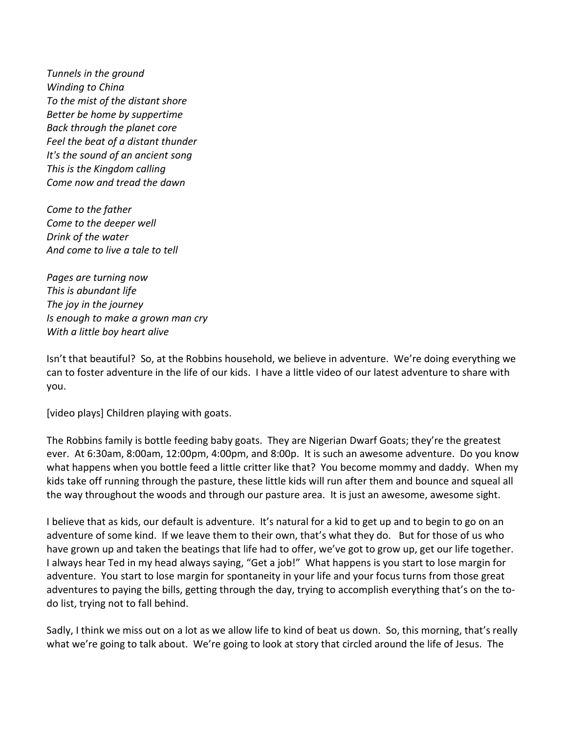*Tunnels in the ground Winding to China To the mist of the distant shore Better be home by suppertime Back through the planet core Feel the beat of a distant thunder It's the sound of an ancient song This is the Kingdom calling Come now and tread the dawn*

*Come to the father Come to the deeper well Drink of the water And come to live a tale to tell*

*Pages are turning now This is abundant life The joy in the journey Is enough to make a grown man cry With a little boy heart alive*

Isn't that beautiful? So, at the Robbins household, we believe in adventure. We're doing everything we can to foster adventure in the life of our kids. I have a little video of our latest adventure to share with you.

[video plays] Children playing with goats.

The Robbins family is bottle feeding baby goats. They are Nigerian Dwarf Goats; they're the greatest ever. At 6:30am, 8:00am, 12:00pm, 4:00pm, and 8:00p. It is such an awesome adventure. Do you know what happens when you bottle feed a little critter like that? You become mommy and daddy. When my kids take off running through the pasture, these little kids will run after them and bounce and squeal all the way throughout the woods and through our pasture area. It is just an awesome, awesome sight.

I believe that as kids, our default is adventure. It's natural for a kid to get up and to begin to go on an adventure of some kind. If we leave them to their own, that's what they do. But for those of us who have grown up and taken the beatings that life had to offer, we've got to grow up, get our life together. I always hear Ted in my head always saying, "Get a job!" What happens is you start to lose margin for adventure. You start to lose margin for spontaneity in your life and your focus turns from those great adventures to paying the bills, getting through the day, trying to accomplish everything that's on the todo list, trying not to fall behind.

Sadly, I think we miss out on a lot as we allow life to kind of beat us down. So, this morning, that's really what we're going to talk about. We're going to look at story that circled around the life of Jesus. The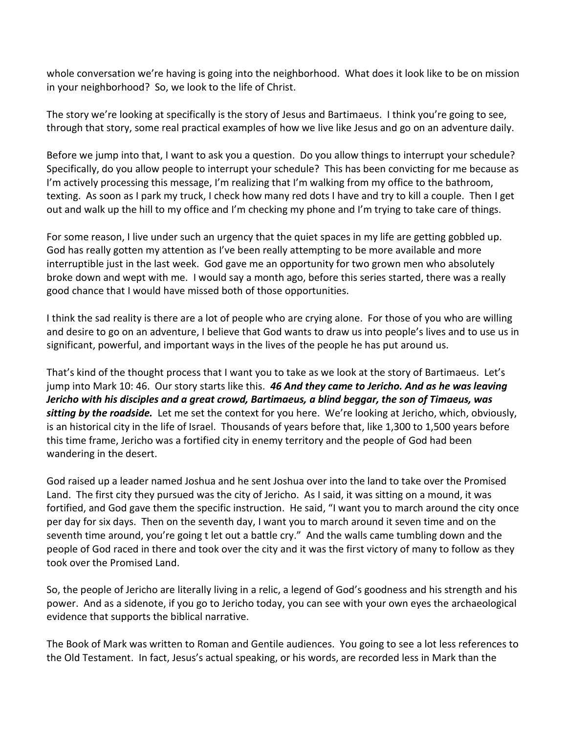whole conversation we're having is going into the neighborhood. What does it look like to be on mission in your neighborhood? So, we look to the life of Christ.

The story we're looking at specifically is the story of Jesus and Bartimaeus. I think you're going to see, through that story, some real practical examples of how we live like Jesus and go on an adventure daily.

Before we jump into that, I want to ask you a question. Do you allow things to interrupt your schedule? Specifically, do you allow people to interrupt your schedule? This has been convicting for me because as I'm actively processing this message, I'm realizing that I'm walking from my office to the bathroom, texting. As soon as I park my truck, I check how many red dots I have and try to kill a couple. Then I get out and walk up the hill to my office and I'm checking my phone and I'm trying to take care of things.

For some reason, I live under such an urgency that the quiet spaces in my life are getting gobbled up. God has really gotten my attention as I've been really attempting to be more available and more interruptible just in the last week. God gave me an opportunity for two grown men who absolutely broke down and wept with me. I would say a month ago, before this series started, there was a really good chance that I would have missed both of those opportunities.

I think the sad reality is there are a lot of people who are crying alone. For those of you who are willing and desire to go on an adventure, I believe that God wants to draw us into people's lives and to use us in significant, powerful, and important ways in the lives of the people he has put around us.

That's kind of the thought process that I want you to take as we look at the story of Bartimaeus. Let's jump into Mark 10: 46. Our story starts like this. *46 And they came to Jericho. And as he was leaving Jericho with his disciples and a great crowd, Bartimaeus, a blind beggar, the son of Timaeus, was sitting by the roadside.* Let me set the context for you here. We're looking at Jericho, which, obviously, is an historical city in the life of Israel. Thousands of years before that, like 1,300 to 1,500 years before this time frame, Jericho was a fortified city in enemy territory and the people of God had been wandering in the desert.

God raised up a leader named Joshua and he sent Joshua over into the land to take over the Promised Land. The first city they pursued was the city of Jericho. As I said, it was sitting on a mound, it was fortified, and God gave them the specific instruction. He said, "I want you to march around the city once per day for six days. Then on the seventh day, I want you to march around it seven time and on the seventh time around, you're going t let out a battle cry." And the walls came tumbling down and the people of God raced in there and took over the city and it was the first victory of many to follow as they took over the Promised Land.

So, the people of Jericho are literally living in a relic, a legend of God's goodness and his strength and his power. And as a sidenote, if you go to Jericho today, you can see with your own eyes the archaeological evidence that supports the biblical narrative.

The Book of Mark was written to Roman and Gentile audiences. You going to see a lot less references to the Old Testament. In fact, Jesus's actual speaking, or his words, are recorded less in Mark than the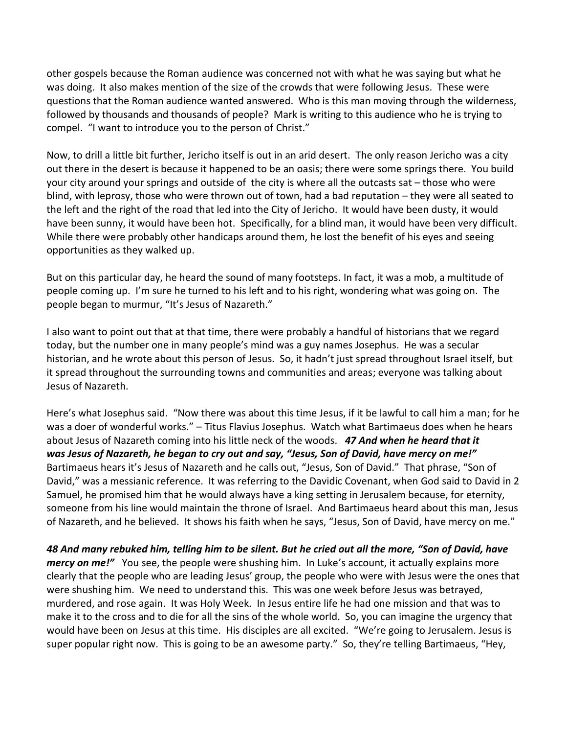other gospels because the Roman audience was concerned not with what he was saying but what he was doing. It also makes mention of the size of the crowds that were following Jesus. These were questions that the Roman audience wanted answered. Who is this man moving through the wilderness, followed by thousands and thousands of people? Mark is writing to this audience who he is trying to compel. "I want to introduce you to the person of Christ."

Now, to drill a little bit further, Jericho itself is out in an arid desert. The only reason Jericho was a city out there in the desert is because it happened to be an oasis; there were some springs there. You build your city around your springs and outside of the city is where all the outcasts sat – those who were blind, with leprosy, those who were thrown out of town, had a bad reputation – they were all seated to the left and the right of the road that led into the City of Jericho. It would have been dusty, it would have been sunny, it would have been hot. Specifically, for a blind man, it would have been very difficult. While there were probably other handicaps around them, he lost the benefit of his eyes and seeing opportunities as they walked up.

But on this particular day, he heard the sound of many footsteps. In fact, it was a mob, a multitude of people coming up. I'm sure he turned to his left and to his right, wondering what was going on. The people began to murmur, "It's Jesus of Nazareth."

I also want to point out that at that time, there were probably a handful of historians that we regard today, but the number one in many people's mind was a guy names Josephus. He was a secular historian, and he wrote about this person of Jesus. So, it hadn't just spread throughout Israel itself, but it spread throughout the surrounding towns and communities and areas; everyone was talking about Jesus of Nazareth.

Here's what Josephus said. "Now there was about this time Jesus, if it be lawful to call him a man; for he was a doer of wonderful works." – Titus Flavius Josephus. Watch what Bartimaeus does when he hears about Jesus of Nazareth coming into his little neck of the woods. *47 And when he heard that it was Jesus of Nazareth, he began to cry out and say, "Jesus, Son of David, have mercy on me!"* Bartimaeus hears it's Jesus of Nazareth and he calls out, "Jesus, Son of David." That phrase, "Son of David," was a messianic reference. It was referring to the Davidic Covenant, when God said to David in 2 Samuel, he promised him that he would always have a king setting in Jerusalem because, for eternity, someone from his line would maintain the throne of Israel. And Bartimaeus heard about this man, Jesus of Nazareth, and he believed. It shows his faith when he says, "Jesus, Son of David, have mercy on me."

*48 And many rebuked him, telling him to be silent. But he cried out all the more, "Son of David, have mercy on me!"* You see, the people were shushing him. In Luke's account, it actually explains more clearly that the people who are leading Jesus' group, the people who were with Jesus were the ones that were shushing him. We need to understand this. This was one week before Jesus was betrayed, murdered, and rose again. It was Holy Week. In Jesus entire life he had one mission and that was to make it to the cross and to die for all the sins of the whole world. So, you can imagine the urgency that would have been on Jesus at this time. His disciples are all excited. "We're going to Jerusalem. Jesus is super popular right now. This is going to be an awesome party." So, they're telling Bartimaeus, "Hey,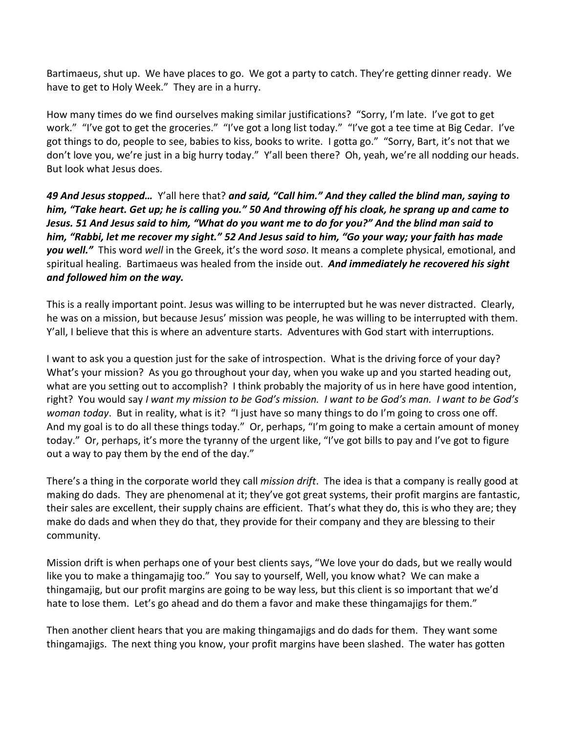Bartimaeus, shut up. We have places to go. We got a party to catch. They're getting dinner ready. We have to get to Holy Week." They are in a hurry.

How many times do we find ourselves making similar justifications? "Sorry, I'm late. I've got to get work." "I've got to get the groceries." "I've got a long list today." "I've got a tee time at Big Cedar. I've got things to do, people to see, babies to kiss, books to write. I gotta go." "Sorry, Bart, it's not that we don't love you, we're just in a big hurry today." Y'all been there? Oh, yeah, we're all nodding our heads. But look what Jesus does.

*49 And Jesus stopped…* Y'all here that? *and said, "Call him." And they called the blind man, saying to him, "Take heart. Get up; he is calling you." 50 And throwing off his cloak, he sprang up and came to Jesus. 51 And Jesus said to him, "What do you want me to do for you?" And the blind man said to him, "Rabbi, let me recover my sight." 52 And Jesus said to him, "Go your way; your faith has made you well."* This word *well* in the Greek, it's the word *soso*. It means a complete physical, emotional, and spiritual healing. Bartimaeus was healed from the inside out. *And immediately he recovered his sight and followed him on the way.*

This is a really important point. Jesus was willing to be interrupted but he was never distracted. Clearly, he was on a mission, but because Jesus' mission was people, he was willing to be interrupted with them. Y'all, I believe that this is where an adventure starts. Adventures with God start with interruptions.

I want to ask you a question just for the sake of introspection. What is the driving force of your day? What's your mission? As you go throughout your day, when you wake up and you started heading out, what are you setting out to accomplish? I think probably the majority of us in here have good intention, right? You would say *I want my mission to be God's mission. I want to be God's man. I want to be God's woman today*. But in reality, what is it? "I just have so many things to do I'm going to cross one off. And my goal is to do all these things today." Or, perhaps, "I'm going to make a certain amount of money today." Or, perhaps, it's more the tyranny of the urgent like, "I've got bills to pay and I've got to figure out a way to pay them by the end of the day."

There's a thing in the corporate world they call *mission drift*. The idea is that a company is really good at making do dads. They are phenomenal at it; they've got great systems, their profit margins are fantastic, their sales are excellent, their supply chains are efficient. That's what they do, this is who they are; they make do dads and when they do that, they provide for their company and they are blessing to their community.

Mission drift is when perhaps one of your best clients says, "We love your do dads, but we really would like you to make a thingamajig too." You say to yourself, Well, you know what? We can make a thingamajig, but our profit margins are going to be way less, but this client is so important that we'd hate to lose them. Let's go ahead and do them a favor and make these thingamajigs for them."

Then another client hears that you are making thingamajigs and do dads for them. They want some thingamajigs. The next thing you know, your profit margins have been slashed. The water has gotten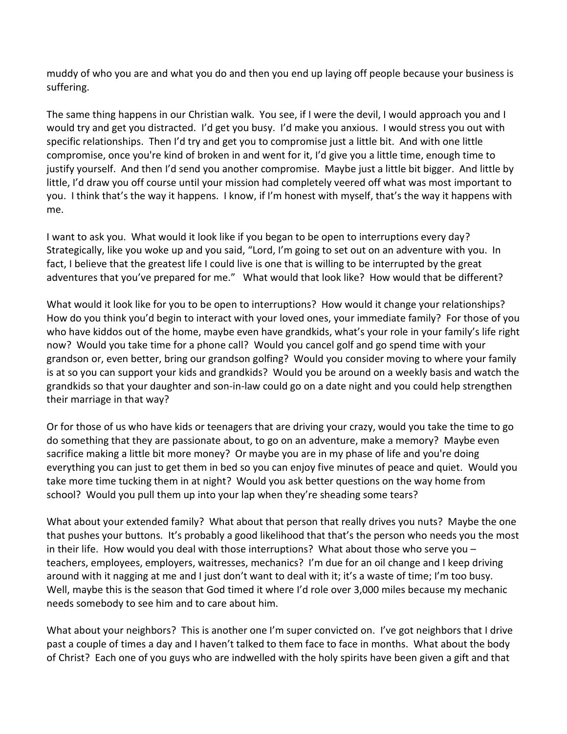muddy of who you are and what you do and then you end up laying off people because your business is suffering.

The same thing happens in our Christian walk. You see, if I were the devil, I would approach you and I would try and get you distracted. I'd get you busy. I'd make you anxious. I would stress you out with specific relationships. Then I'd try and get you to compromise just a little bit. And with one little compromise, once you're kind of broken in and went for it, I'd give you a little time, enough time to justify yourself. And then I'd send you another compromise. Maybe just a little bit bigger. And little by little, I'd draw you off course until your mission had completely veered off what was most important to you. I think that's the way it happens. I know, if I'm honest with myself, that's the way it happens with me.

I want to ask you. What would it look like if you began to be open to interruptions every day? Strategically, like you woke up and you said, "Lord, I'm going to set out on an adventure with you. In fact, I believe that the greatest life I could live is one that is willing to be interrupted by the great adventures that you've prepared for me." What would that look like? How would that be different?

What would it look like for you to be open to interruptions? How would it change your relationships? How do you think you'd begin to interact with your loved ones, your immediate family? For those of you who have kiddos out of the home, maybe even have grandkids, what's your role in your family's life right now? Would you take time for a phone call? Would you cancel golf and go spend time with your grandson or, even better, bring our grandson golfing? Would you consider moving to where your family is at so you can support your kids and grandkids? Would you be around on a weekly basis and watch the grandkids so that your daughter and son-in-law could go on a date night and you could help strengthen their marriage in that way?

Or for those of us who have kids or teenagers that are driving your crazy, would you take the time to go do something that they are passionate about, to go on an adventure, make a memory? Maybe even sacrifice making a little bit more money? Or maybe you are in my phase of life and you're doing everything you can just to get them in bed so you can enjoy five minutes of peace and quiet. Would you take more time tucking them in at night? Would you ask better questions on the way home from school? Would you pull them up into your lap when they're sheading some tears?

What about your extended family? What about that person that really drives you nuts? Maybe the one that pushes your buttons. It's probably a good likelihood that that's the person who needs you the most in their life. How would you deal with those interruptions? What about those who serve you – teachers, employees, employers, waitresses, mechanics? I'm due for an oil change and I keep driving around with it nagging at me and I just don't want to deal with it; it's a waste of time; I'm too busy. Well, maybe this is the season that God timed it where I'd role over 3,000 miles because my mechanic needs somebody to see him and to care about him.

What about your neighbors? This is another one I'm super convicted on. I've got neighbors that I drive past a couple of times a day and I haven't talked to them face to face in months. What about the body of Christ? Each one of you guys who are indwelled with the holy spirits have been given a gift and that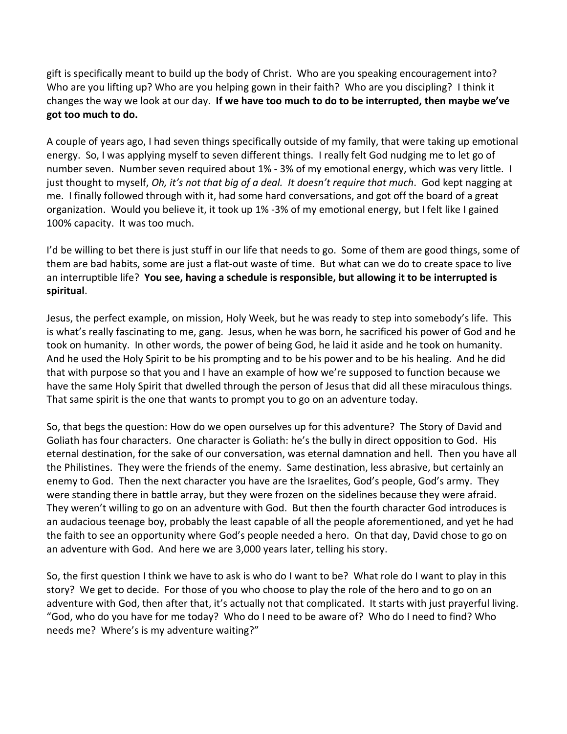gift is specifically meant to build up the body of Christ. Who are you speaking encouragement into? Who are you lifting up? Who are you helping gown in their faith? Who are you discipling? I think it changes the way we look at our day. **If we have too much to do to be interrupted, then maybe we've got too much to do.**

A couple of years ago, I had seven things specifically outside of my family, that were taking up emotional energy. So, I was applying myself to seven different things. I really felt God nudging me to let go of number seven. Number seven required about 1% - 3% of my emotional energy, which was very little. I just thought to myself, *Oh, it's not that big of a deal. It doesn't require that much*. God kept nagging at me. I finally followed through with it, had some hard conversations, and got off the board of a great organization. Would you believe it, it took up 1% -3% of my emotional energy, but I felt like I gained 100% capacity. It was too much.

I'd be willing to bet there is just stuff in our life that needs to go. Some of them are good things, some of them are bad habits, some are just a flat-out waste of time. But what can we do to create space to live an interruptible life? **You see, having a schedule is responsible, but allowing it to be interrupted is spiritual**.

Jesus, the perfect example, on mission, Holy Week, but he was ready to step into somebody's life. This is what's really fascinating to me, gang. Jesus, when he was born, he sacrificed his power of God and he took on humanity. In other words, the power of being God, he laid it aside and he took on humanity. And he used the Holy Spirit to be his prompting and to be his power and to be his healing. And he did that with purpose so that you and I have an example of how we're supposed to function because we have the same Holy Spirit that dwelled through the person of Jesus that did all these miraculous things. That same spirit is the one that wants to prompt you to go on an adventure today.

So, that begs the question: How do we open ourselves up for this adventure? The Story of David and Goliath has four characters. One character is Goliath: he's the bully in direct opposition to God. His eternal destination, for the sake of our conversation, was eternal damnation and hell. Then you have all the Philistines. They were the friends of the enemy. Same destination, less abrasive, but certainly an enemy to God. Then the next character you have are the Israelites, God's people, God's army. They were standing there in battle array, but they were frozen on the sidelines because they were afraid. They weren't willing to go on an adventure with God. But then the fourth character God introduces is an audacious teenage boy, probably the least capable of all the people aforementioned, and yet he had the faith to see an opportunity where God's people needed a hero. On that day, David chose to go on an adventure with God. And here we are 3,000 years later, telling his story.

So, the first question I think we have to ask is who do I want to be? What role do I want to play in this story? We get to decide. For those of you who choose to play the role of the hero and to go on an adventure with God, then after that, it's actually not that complicated. It starts with just prayerful living. "God, who do you have for me today? Who do I need to be aware of? Who do I need to find? Who needs me? Where's is my adventure waiting?"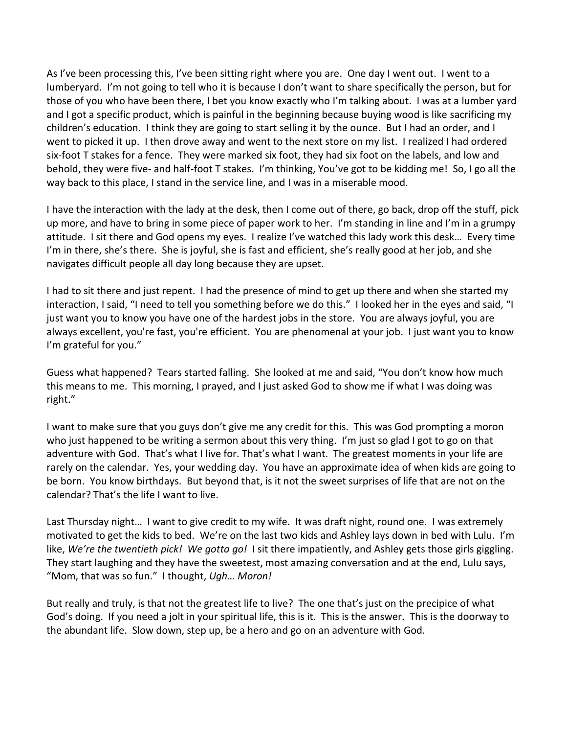As I've been processing this, I've been sitting right where you are. One day I went out. I went to a lumberyard. I'm not going to tell who it is because I don't want to share specifically the person, but for those of you who have been there, I bet you know exactly who I'm talking about. I was at a lumber yard and I got a specific product, which is painful in the beginning because buying wood is like sacrificing my children's education. I think they are going to start selling it by the ounce. But I had an order, and I went to picked it up. I then drove away and went to the next store on my list. I realized I had ordered six-foot T stakes for a fence. They were marked six foot, they had six foot on the labels, and low and behold, they were five- and half-foot T stakes. I'm thinking, You've got to be kidding me! So, I go all the way back to this place, I stand in the service line, and I was in a miserable mood.

I have the interaction with the lady at the desk, then I come out of there, go back, drop off the stuff, pick up more, and have to bring in some piece of paper work to her. I'm standing in line and I'm in a grumpy attitude. I sit there and God opens my eyes. I realize I've watched this lady work this desk… Every time I'm in there, she's there. She is joyful, she is fast and efficient, she's really good at her job, and she navigates difficult people all day long because they are upset.

I had to sit there and just repent. I had the presence of mind to get up there and when she started my interaction, I said, "I need to tell you something before we do this." I looked her in the eyes and said, "I just want you to know you have one of the hardest jobs in the store. You are always joyful, you are always excellent, you're fast, you're efficient. You are phenomenal at your job. I just want you to know I'm grateful for you."

Guess what happened? Tears started falling. She looked at me and said, "You don't know how much this means to me. This morning, I prayed, and I just asked God to show me if what I was doing was right."

I want to make sure that you guys don't give me any credit for this. This was God prompting a moron who just happened to be writing a sermon about this very thing. I'm just so glad I got to go on that adventure with God. That's what I live for. That's what I want. The greatest moments in your life are rarely on the calendar. Yes, your wedding day. You have an approximate idea of when kids are going to be born. You know birthdays. But beyond that, is it not the sweet surprises of life that are not on the calendar? That's the life I want to live.

Last Thursday night… I want to give credit to my wife. It was draft night, round one. I was extremely motivated to get the kids to bed. We're on the last two kids and Ashley lays down in bed with Lulu. I'm like, *We're the twentieth pick! We gotta go!* I sit there impatiently, and Ashley gets those girls giggling. They start laughing and they have the sweetest, most amazing conversation and at the end, Lulu says, "Mom, that was so fun." I thought, *Ugh… Moron!*

But really and truly, is that not the greatest life to live? The one that's just on the precipice of what God's doing. If you need a jolt in your spiritual life, this is it. This is the answer. This is the doorway to the abundant life. Slow down, step up, be a hero and go on an adventure with God.